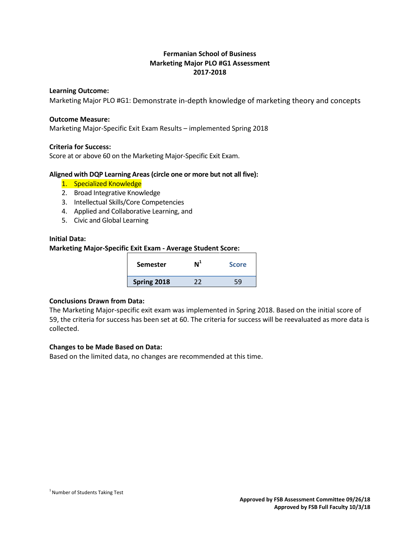# **Fermanian School of Business Marketing Major PLO #G1 Assessment 2017-2018**

## **Learning Outcome:**

Marketing Major PLO #G1: Demonstrate in-depth knowledge of marketing theory and concepts

#### **Outcome Measure:**

Marketing Major-Specific Exit Exam Results – implemented Spring 2018

## **Criteria for Success:**

Score at or above 60 on the Marketing Major-Specific Exit Exam.

## **Aligned with DQP Learning Areas (circle one or more but not all five):**

- 1. Specialized Knowledge
- 2. Broad Integrative Knowledge
- 3. Intellectual Skills/Core Competencies
- 4. Applied and Collaborative Learning, and
- 5. Civic and Global Learning

## **Initial Data:**

## **Marketing Major-Specific Exit Exam - Average Student Score:**

| <b>Semester</b> | <b>Score</b> |
|-----------------|--------------|
| Spring 2018     | 59           |

#### **Conclusions Drawn from Data:**

The Marketing Major-specific exit exam was implemented in Spring 2018. Based on the initial score of 59, the criteria for success has been set at 60. The criteria for success will be reevaluated as more data is collected.

## **Changes to be Made Based on Data:**

Based on the limited data, no changes are recommended at this time.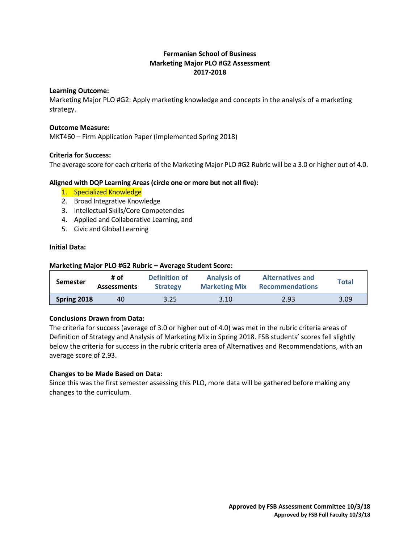# **Fermanian School of Business Marketing Major PLO #G2 Assessment 2017-2018**

## **Learning Outcome:**

Marketing Major PLO #G2: Apply marketing knowledge and concepts in the analysis of a marketing strategy.

## **Outcome Measure:**

MKT460 – Firm Application Paper (implemented Spring 2018)

## **Criteria for Success:**

The average score for each criteria of the Marketing Major PLO #G2 Rubric will be a 3.0 or higher out of 4.0.

## **Aligned with DQP Learning Areas (circle one or more but not all five):**

- 1. Specialized Knowledge
- 2. Broad Integrative Knowledge
- 3. Intellectual Skills/Core Competencies
- 4. Applied and Collaborative Learning, and
- 5. Civic and Global Learning

## **Initial Data:**

| Marketing Major PLO #G2 Rubric - Average Student Score: |                            |                                  |                                            |                                                   |              |  |  |  |
|---------------------------------------------------------|----------------------------|----------------------------------|--------------------------------------------|---------------------------------------------------|--------------|--|--|--|
| <b>Semester</b>                                         | # of<br><b>Assessments</b> | Definition of<br><b>Strategy</b> | <b>Analysis of</b><br><b>Marketing Mix</b> | <b>Alternatives and</b><br><b>Recommendations</b> | <b>Total</b> |  |  |  |
| Spring 2018                                             | 40                         | 3.25                             | 3.10                                       | 2.93                                              | 3.09         |  |  |  |

## **Conclusions Drawn from Data:**

The criteria for success (average of 3.0 or higher out of 4.0) was met in the rubric criteria areas of Definition of Strategy and Analysis of Marketing Mix in Spring 2018. FSB students' scores fell slightly below the criteria for success in the rubric criteria area of Alternatives and Recommendations, with an average score of 2.93.

#### **Changes to be Made Based on Data:**

Since this was the first semester assessing this PLO, more data will be gathered before making any changes to the curriculum.